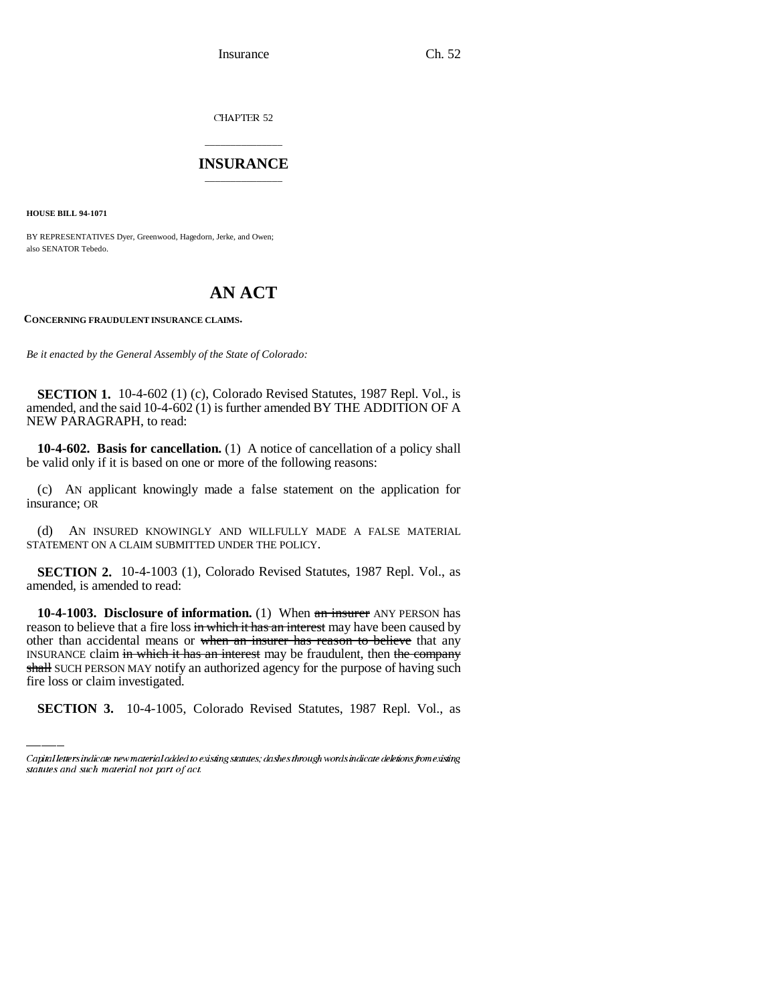Insurance Ch. 52

CHAPTER 52

## \_\_\_\_\_\_\_\_\_\_\_\_\_\_\_ **INSURANCE** \_\_\_\_\_\_\_\_\_\_\_\_\_\_\_

**HOUSE BILL 94-1071**

BY REPRESENTATIVES Dyer, Greenwood, Hagedorn, Jerke, and Owen; also SENATOR Tebedo.

## **AN ACT**

**CONCERNING FRAUDULENT INSURANCE CLAIMS.**

*Be it enacted by the General Assembly of the State of Colorado:*

**SECTION 1.** 10-4-602 (1) (c), Colorado Revised Statutes, 1987 Repl. Vol., is amended, and the said 10-4-602 (1) is further amended BY THE ADDITION OF A NEW PARAGRAPH, to read:

**10-4-602. Basis for cancellation.** (1) A notice of cancellation of a policy shall be valid only if it is based on one or more of the following reasons:

(c) AN applicant knowingly made a false statement on the application for insurance; OR

(d) AN INSURED KNOWINGLY AND WILLFULLY MADE A FALSE MATERIAL STATEMENT ON A CLAIM SUBMITTED UNDER THE POLICY.

**SECTION 2.** 10-4-1003 (1), Colorado Revised Statutes, 1987 Repl. Vol., as amended, is amended to read:

INSURANCE claim in which it has an interest may be fraudulent, then the company **10-4-1003. Disclosure of information.** (1) When an insurer ANY PERSON has reason to believe that a fire loss in which it has an interest may have been caused by other than accidental means or when an insurer has reason to believe that any shall SUCH PERSON MAY notify an authorized agency for the purpose of having such fire loss or claim investigated.

**SECTION 3.** 10-4-1005, Colorado Revised Statutes, 1987 Repl. Vol., as

Capital letters indicate new material added to existing statutes; dashes through words indicate deletions from existing statutes and such material not part of act.